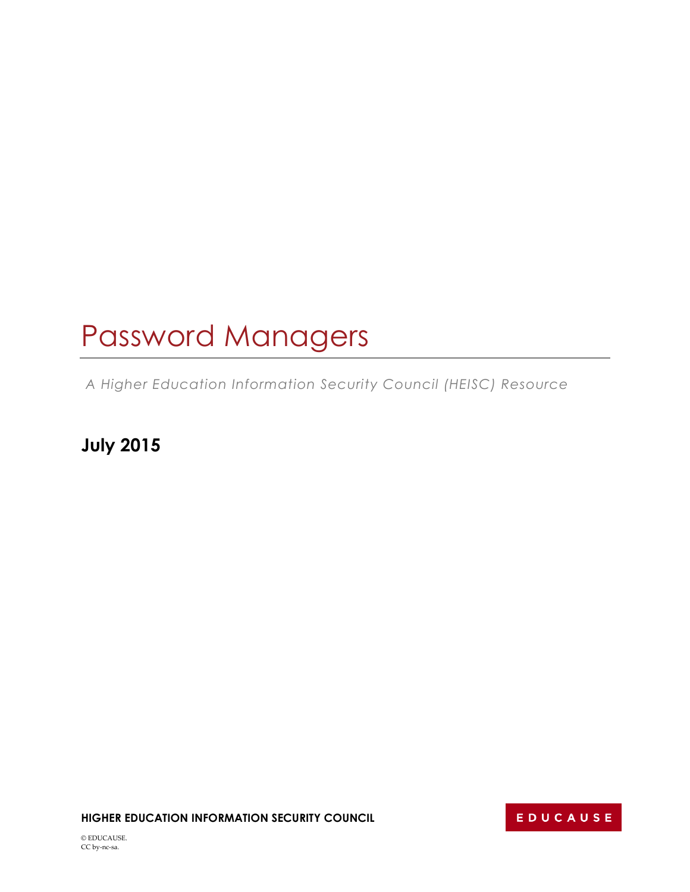# Password Managers

*A Higher Education Information Security Council (HEISC) Resource*

**July 2015**

**HIGHER EDUCATION INFORMATION SECURITY COUNCIL**

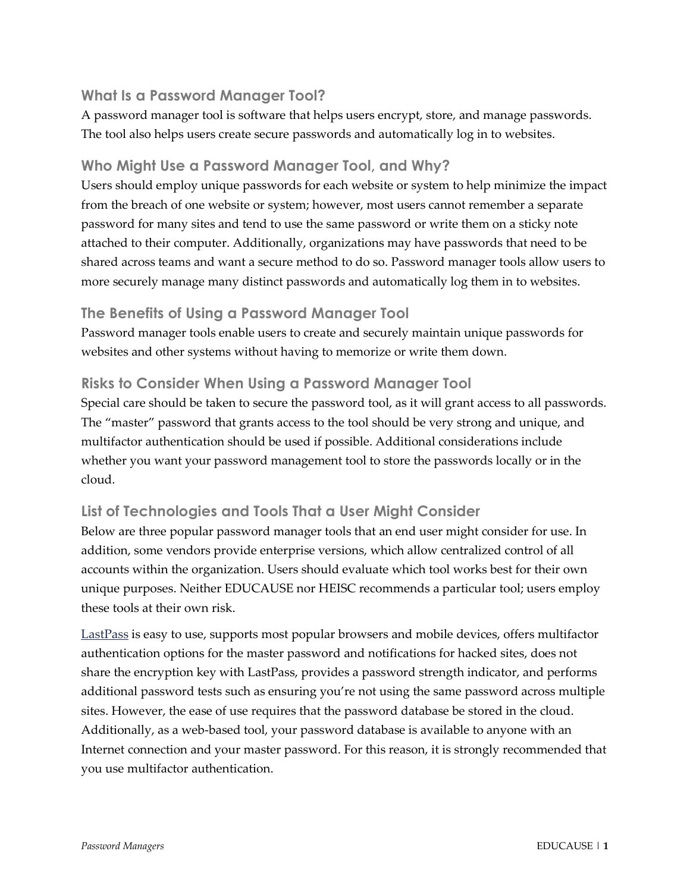### **What Is a Password Manager Tool?**

A password manager tool is software that helps users encrypt, store, and manage passwords. The tool also helps users create secure passwords and automatically log in to websites.

#### **Who Might Use a Password Manager Tool, and Why?**

Users should employ unique passwords for each website or system to help minimize the impact from the breach of one website or system; however, most users cannot remember a separate password for many sites and tend to use the same password or write them on a sticky note attached to their computer. Additionally, organizations may have passwords that need to be shared across teams and want a secure method to do so. Password manager tools allow users to more securely manage many distinct passwords and automatically log them in to websites.

#### **The Benefits of Using a Password Manager Tool**

Password manager tools enable users to create and securely maintain unique passwords for websites and other systems without having to memorize or write them down.

### **Risks to Consider When Using a Password Manager Tool**

Special care should be taken to secure the password tool, as it will grant access to all passwords. The "master" password that grants access to the tool should be very strong and unique, and multifactor authentication should be used if possible. Additional considerations include whether you want your password management tool to store the passwords locally or in the cloud.

## **List of Technologies and Tools That a User Might Consider**

Below are three popular password manager tools that an end user might consider for use. In addition, some vendors provide enterprise versions, which allow centralized control of all accounts within the organization. Users should evaluate which tool works best for their own unique purposes. Neither EDUCAUSE nor HEISC recommends a particular tool; users employ these tools at their own risk.

[LastPass](https://lastpass.com/) is easy to use, supports most popular browsers and mobile devices, offers multifactor authentication options for the master password and notifications for hacked sites, does not share the encryption key with LastPass, provides a password strength indicator, and performs additional password tests such as ensuring you're not using the same password across multiple sites. However, the ease of use requires that the password database be stored in the cloud. Additionally, as a web-based tool, your password database is available to anyone with an Internet connection and your master password. For this reason, it is strongly recommended that you use multifactor authentication.